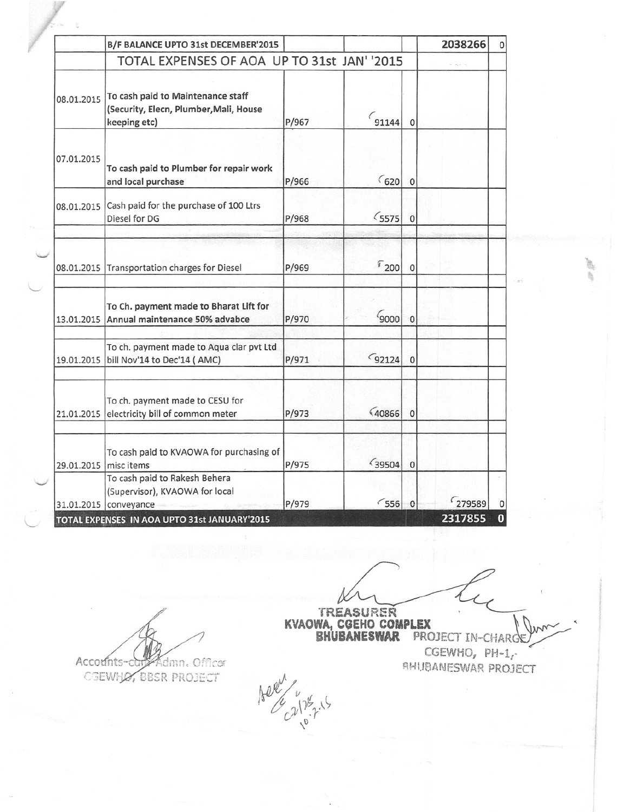|                       | B/F BALANCE UPTO 31st DECEMBER'2015                                                         |       |                 |                | 2038266 | 0        |
|-----------------------|---------------------------------------------------------------------------------------------|-------|-----------------|----------------|---------|----------|
|                       | TOTAL EXPENSES OF AOA UP TO 31st JAN' '2015                                                 |       |                 |                |         |          |
| 08.01.2015            | To cash paid to Maintenance staff<br>(Security, Elecn, Plumber, Mali, House<br>keeping etc) | P/967 | $\sim$ 91144    | $\Omega$       |         |          |
| 07.01.2015            | To cash paid to Plumber for repair work<br>and local purchase                               | P/966 | 620             | $\overline{0}$ |         |          |
|                       | 08.01.2015 Cash paid for the purchase of 100 Ltrs<br>Diesel for DG                          | P/968 | $5575$          | $\Omega$       |         |          |
|                       | 08.01.2015 Transportation charges for Diesel                                                | P/969 | $\sqrt[p]{200}$ |                |         |          |
|                       | To Ch. payment made to Bharat Lift for<br>13.01.2015 Annual maintenance 50% advabce         | P/970 | 9000            |                |         |          |
|                       | To ch. payment made to Aqua clar pvt Ltd<br>19.01.2015 bill Nov'14 to Dec'14 (AMC)          | P/971 | $G$ 92124       | 0              |         |          |
|                       | To ch. payment made to CESU for<br>21.01.2015 electricity bill of common meter              | P/973 | (40866)         | $\Omega$       |         |          |
| 29.01.2015 misc items | To cash paid to KVAOWA for purchasing of                                                    | P/975 | (39504)         | $\Omega$       |         |          |
|                       | To cash paid to Rakesh Behera<br>(Supervisor), KVAOWA for local<br>31.01.2015 conveyance    | P/979 | 556             |                | 279589  |          |
|                       | TOTAL EXPENSES IN AOA UPTO 31st JANUARY'2015                                                |       |                 |                | 2317855 | $\bf{0}$ |

Accounts-c Sdmn. Officer

CGEWHO, BBSR PROJECT

TREASURER ' **SHUBANESWAR** PROJECT IN~CHARGE

 $CGEWHO, PH-1,'$ SHUBANESWAR PROJECT

r<br>O